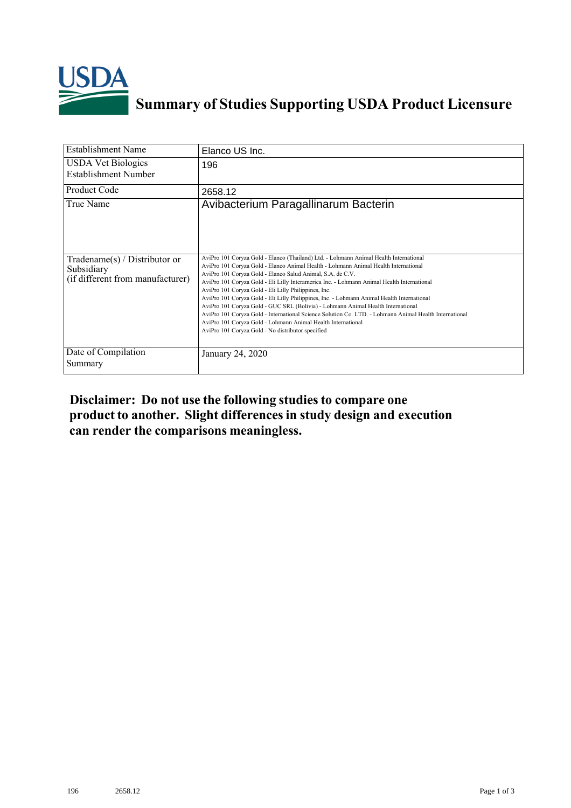

## **Summary of Studies Supporting USDA Product Licensure**

| <b>Establishment Name</b>                                                         | Elanco US Inc.                                                                                                                                                                                                                                                                                                                                                                                                                                                                                                                                                                                                                                                                                                                                                                                                    |
|-----------------------------------------------------------------------------------|-------------------------------------------------------------------------------------------------------------------------------------------------------------------------------------------------------------------------------------------------------------------------------------------------------------------------------------------------------------------------------------------------------------------------------------------------------------------------------------------------------------------------------------------------------------------------------------------------------------------------------------------------------------------------------------------------------------------------------------------------------------------------------------------------------------------|
| <b>USDA Vet Biologics</b><br>Establishment Number                                 | 196                                                                                                                                                                                                                                                                                                                                                                                                                                                                                                                                                                                                                                                                                                                                                                                                               |
| Product Code                                                                      | 2658.12                                                                                                                                                                                                                                                                                                                                                                                                                                                                                                                                                                                                                                                                                                                                                                                                           |
| True Name                                                                         | Avibacterium Paragallinarum Bacterin                                                                                                                                                                                                                                                                                                                                                                                                                                                                                                                                                                                                                                                                                                                                                                              |
| $Tradename(s) / Distributor$ or<br>Subsidiary<br>(if different from manufacturer) | AviPro 101 Coryza Gold - Elanco (Thailand) Ltd. - Lohmann Animal Health International<br>AviPro 101 Coryza Gold - Elanco Animal Health - Lohmann Animal Health International<br>AviPro 101 Coryza Gold - Elanco Salud Animal, S.A. de C.V.<br>AviPro 101 Coryza Gold - Eli Lilly Interamerica Inc. - Lohmann Animal Health International<br>AviPro 101 Coryza Gold - Eli Lilly Philippines, Inc.<br>AviPro 101 Coryza Gold - Eli Lilly Philippines, Inc. - Lohmann Animal Health International<br>AviPro 101 Coryza Gold - GUC SRL (Bolivia) - Lohmann Animal Health International<br>AviPro 101 Coryza Gold - International Science Solution Co. LTD. - Lohmann Animal Health International<br>AviPro 101 Coryza Gold - Lohmann Animal Health International<br>AviPro 101 Coryza Gold - No distributor specified |
| Date of Compilation<br>Summary                                                    | January 24, 2020                                                                                                                                                                                                                                                                                                                                                                                                                                                                                                                                                                                                                                                                                                                                                                                                  |

**Disclaimer: Do not use the following studiesto compare one product to another. Slight differencesin study design and execution can render the comparisons meaningless.**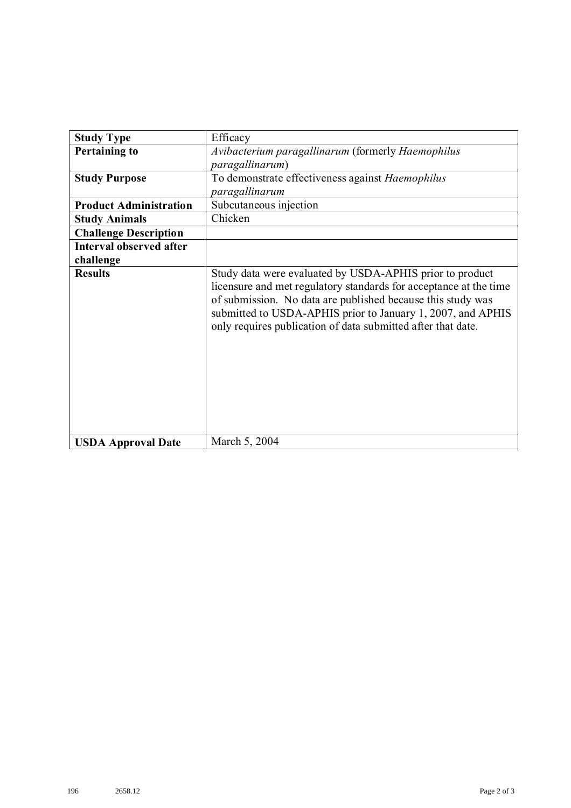| <b>Study Type</b>              | Efficacy                                                                                                                                                                                                                                                                                                                    |
|--------------------------------|-----------------------------------------------------------------------------------------------------------------------------------------------------------------------------------------------------------------------------------------------------------------------------------------------------------------------------|
| <b>Pertaining to</b>           | Avibacterium paragallinarum (formerly Haemophilus                                                                                                                                                                                                                                                                           |
|                                | paragallinarum)                                                                                                                                                                                                                                                                                                             |
| <b>Study Purpose</b>           | To demonstrate effectiveness against Haemophilus                                                                                                                                                                                                                                                                            |
|                                | paragallinarum                                                                                                                                                                                                                                                                                                              |
| <b>Product Administration</b>  | Subcutaneous injection                                                                                                                                                                                                                                                                                                      |
| <b>Study Animals</b>           | Chicken                                                                                                                                                                                                                                                                                                                     |
| <b>Challenge Description</b>   |                                                                                                                                                                                                                                                                                                                             |
| <b>Interval observed after</b> |                                                                                                                                                                                                                                                                                                                             |
| challenge                      |                                                                                                                                                                                                                                                                                                                             |
| <b>Results</b>                 | Study data were evaluated by USDA-APHIS prior to product<br>licensure and met regulatory standards for acceptance at the time<br>of submission. No data are published because this study was<br>submitted to USDA-APHIS prior to January 1, 2007, and APHIS<br>only requires publication of data submitted after that date. |
| <b>USDA Approval Date</b>      | March 5, 2004                                                                                                                                                                                                                                                                                                               |